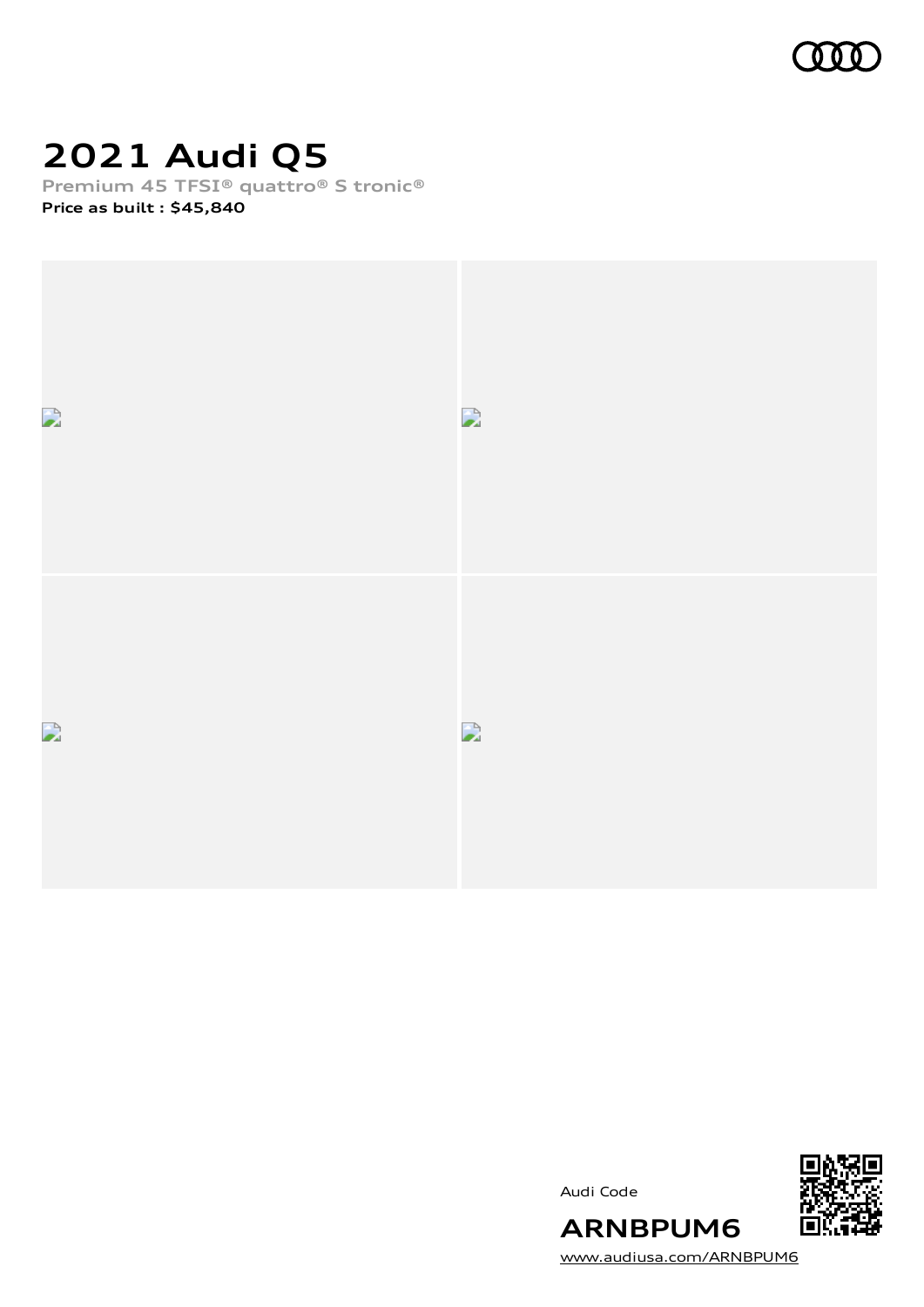

# **2021 Audi Q5**

**Premium 45 TFSI® quattro® S tronic®**

**Price as built [:](#page-10-0) \$45,840**







[www.audiusa.com/ARNBPUM6](https://www.audiusa.com/ARNBPUM6)

**ARNBPUM6**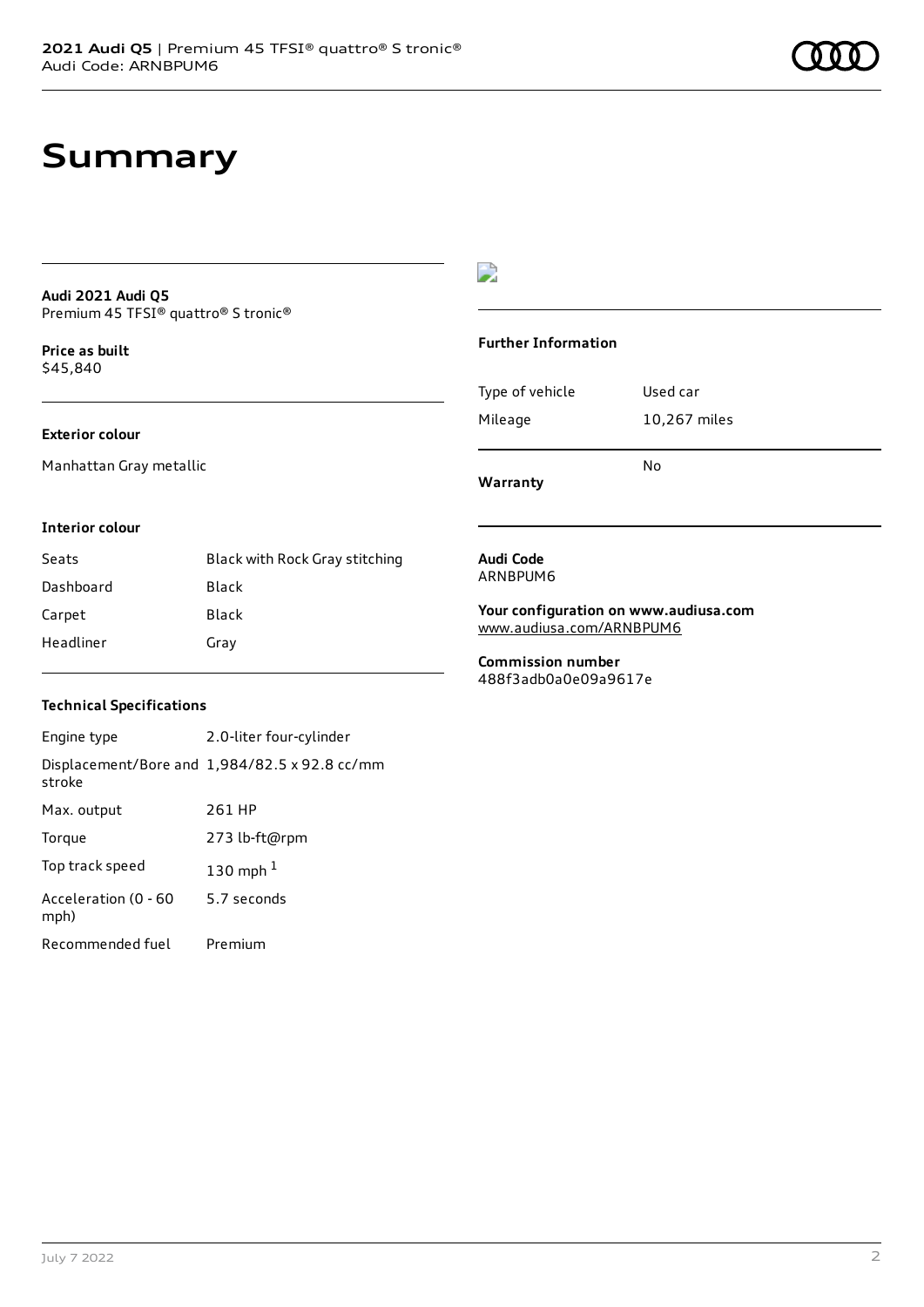# **Summary**

#### **Audi 2021 Audi Q5** Premium 45 TFSI® quattro® S tronic®

**Price as buil[t](#page-10-0)** \$45,840

#### **Exterior colour**

Manhattan Gray metallic

#### $\overline{\phantom{a}}$

#### **Further Information**

| Warranty        |              |
|-----------------|--------------|
|                 | N٥           |
| Mileage         | 10,267 miles |
| Type of vehicle | Used car     |

#### **Interior colour**

| Seats     | Black with Rock Gray stitching |
|-----------|--------------------------------|
| Dashboard | Black                          |
| Carpet    | Black                          |
| Headliner | Gray                           |

#### **Audi Code** ARNBPUM6

**Your configuration on www.audiusa.com** [www.audiusa.com/ARNBPUM6](https://www.audiusa.com/ARNBPUM6)

**Commission number** 488f3adb0a0e09a9617e

#### **Technical Specifications**

| Engine type                  | 2.0-liter four-cylinder                       |
|------------------------------|-----------------------------------------------|
| stroke                       | Displacement/Bore and 1,984/82.5 x 92.8 cc/mm |
| Max. output                  | 261 HP                                        |
| Torque                       | 273 lb-ft@rpm                                 |
| Top track speed              | 130 mph $1$                                   |
| Acceleration (0 - 60<br>mph) | 5.7 seconds                                   |
| Recommended fuel             | Premium                                       |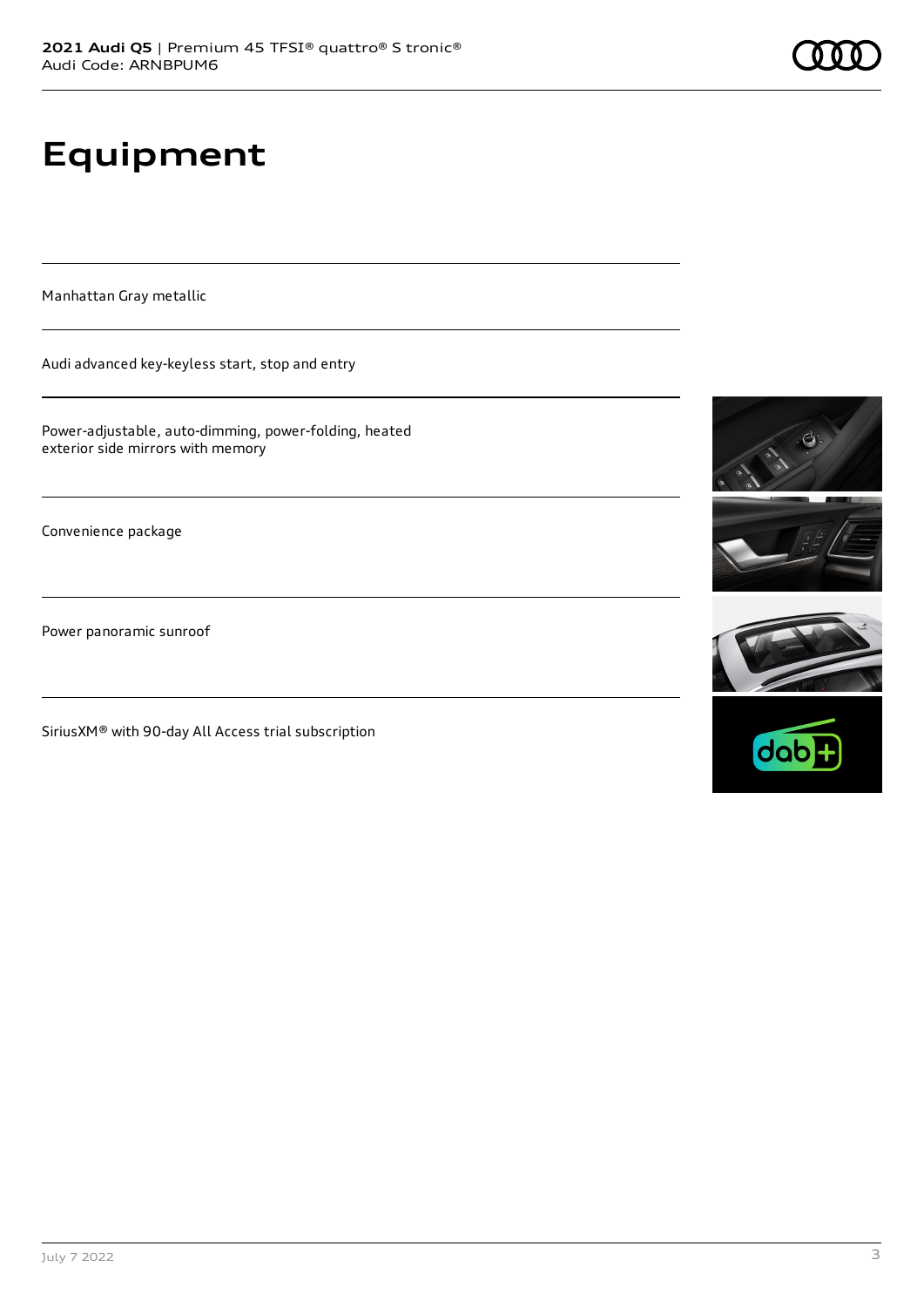# **Equipment**

Manhattan Gray metallic

Audi advanced key-keyless start, stop and entry

Power-adjustable, auto-dimming, power-folding, heated exterior side mirrors with memory

Convenience package

Power panoramic sunroof

SiriusXM® with 90-day All Access trial subscription







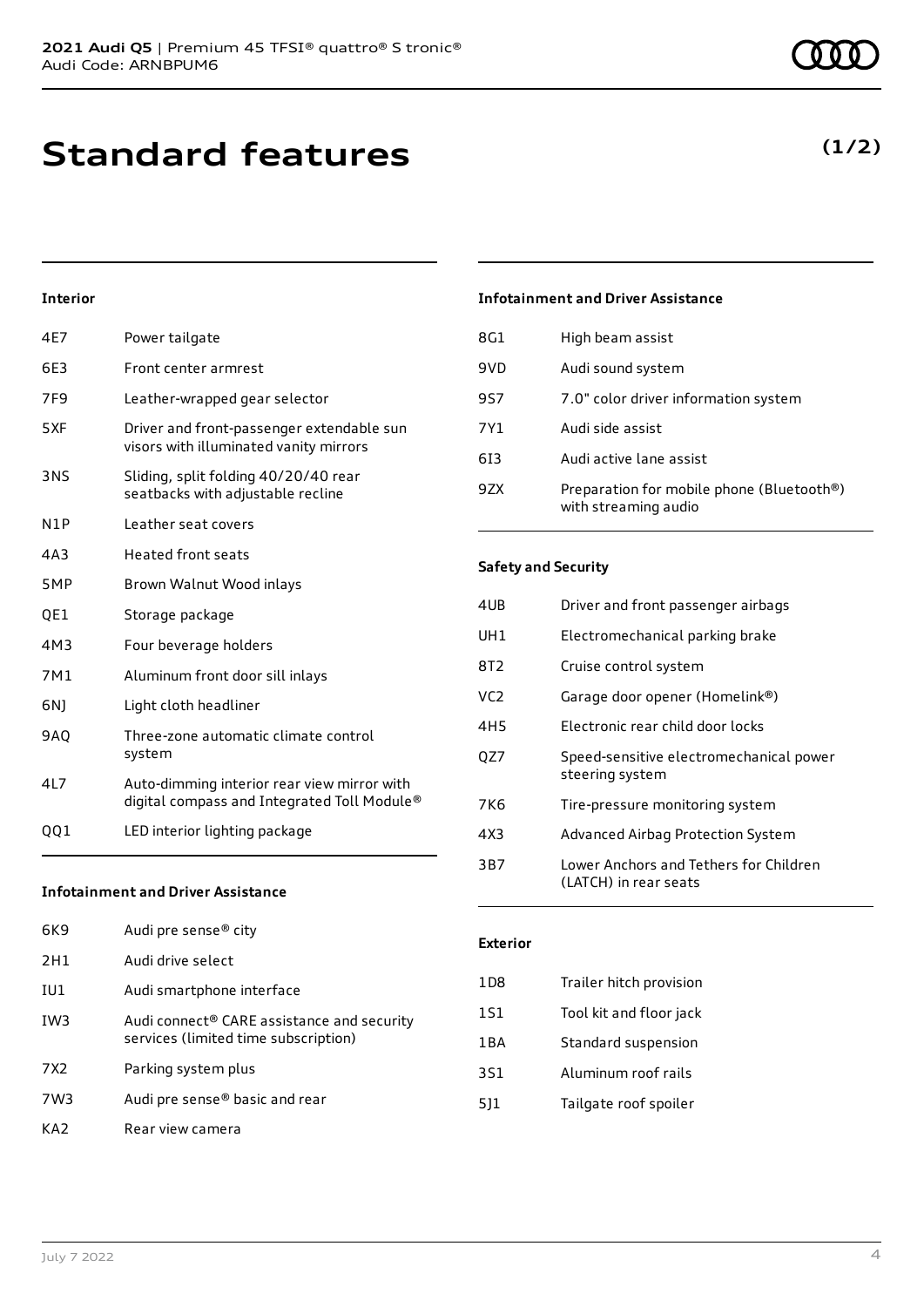**Standard features**

#### **Interior**

| 4E7             | Power tailgate                                                                             |
|-----------------|--------------------------------------------------------------------------------------------|
| 6E3             | Front center armrest                                                                       |
| 7F <sub>9</sub> | Leather-wrapped gear selector                                                              |
| 5XF             | Driver and front-passenger extendable sun<br>visors with illuminated vanity mirrors        |
| 3NS             | Sliding, split folding 40/20/40 rear<br>seatbacks with adjustable recline                  |
| N1P             | Leather seat covers                                                                        |
| 4A3             | <b>Heated front seats</b>                                                                  |
| 5MP             | Brown Walnut Wood inlays                                                                   |
| QE1             | Storage package                                                                            |
| 4M3             | Four beverage holders                                                                      |
| 7M1             | Aluminum front door sill inlays                                                            |
| 6N)             | Light cloth headliner                                                                      |
| 9AQ             | Three-zone automatic climate control<br>system                                             |
| 4L7             | Auto-dimming interior rear view mirror with<br>digital compass and Integrated Toll Module® |
| QQ1             | LED interior lighting package                                                              |
|                 |                                                                                            |

#### **Infotainment and Driver Assistance**

| 6K9             | Audi pre sense® city                                                                           |
|-----------------|------------------------------------------------------------------------------------------------|
| 2H1             | Audi drive select                                                                              |
| IU1             | Audi smartphone interface                                                                      |
| IW <sub>3</sub> | Audi connect <sup>®</sup> CARE assistance and security<br>services (limited time subscription) |
| 7X <sub>2</sub> | Parking system plus                                                                            |
| 7W3             | Audi pre sense® basic and rear                                                                 |
| KA <sub>2</sub> | Rear view camera                                                                               |

#### **Infotainment and Driver Assistance**

| 8G1 | High beam assist                                                  |
|-----|-------------------------------------------------------------------|
| 9VD | Audi sound system                                                 |
| 957 | 7.0" color driver information system                              |
| 7Y1 | Audi side assist                                                  |
| 613 | Audi active lane assist                                           |
| 97X | Preparation for mobile phone (Bluetooth®)<br>with streaming audio |

#### **Safety and Security**

| 4UB             | Driver and front passenger airbags                              |
|-----------------|-----------------------------------------------------------------|
| UH <sub>1</sub> | Electromechanical parking brake                                 |
| 8T <sub>2</sub> | Cruise control system                                           |
| VC <sub>2</sub> | Garage door opener (Homelink®)                                  |
| 4H <sub>5</sub> | Electronic rear child door locks                                |
| QZ7             | Speed-sensitive electromechanical power<br>steering system      |
| 7K6             | Tire-pressure monitoring system                                 |
| 4X3             | Advanced Airbag Protection System                               |
| 3B7             | Lower Anchors and Tethers for Children<br>(LATCH) in rear seats |

#### **Exterior**

| 1 D 8 | Trailer hitch provision |
|-------|-------------------------|
| 1S1   | Tool kit and floor jack |
| 1BA   | Standard suspension     |
| 3S1   | Aluminum roof rails     |
| 511   | Tailgate roof spoiler   |
|       |                         |

### **(1/2)**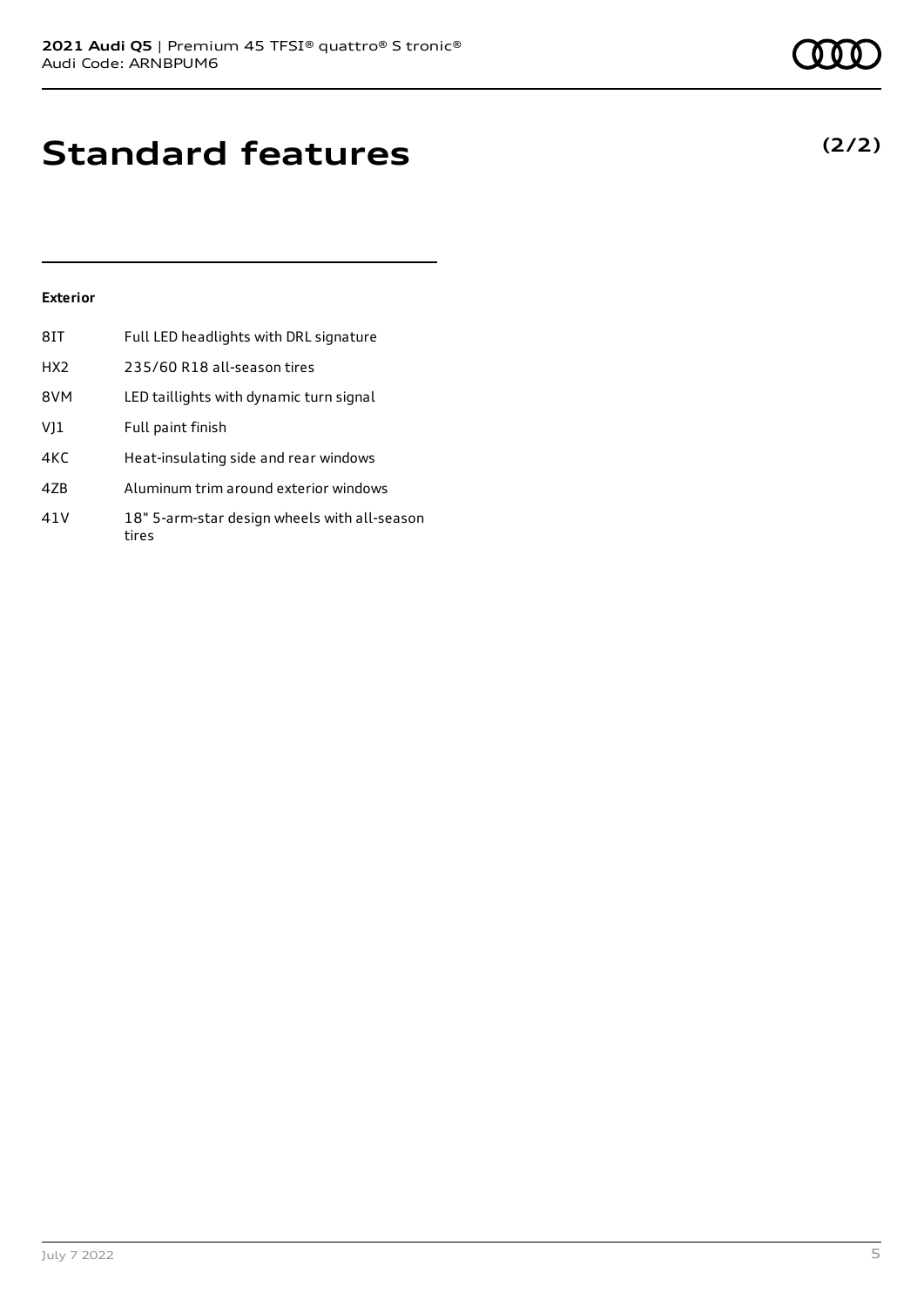# **Standard features**

#### **Exterior**

| 8IT             | Full LED headlights with DRL signature                |
|-----------------|-------------------------------------------------------|
| HX <sub>2</sub> | 235/60 R18 all-season tires                           |
| 8VM             | LED taillights with dynamic turn signal               |
| VJ1             | Full paint finish                                     |
| 4KC             | Heat-insulating side and rear windows                 |
| 47 <sub>B</sub> | Aluminum trim around exterior windows                 |
| 41V             | 18" 5-arm-star design wheels with all-season<br>tires |

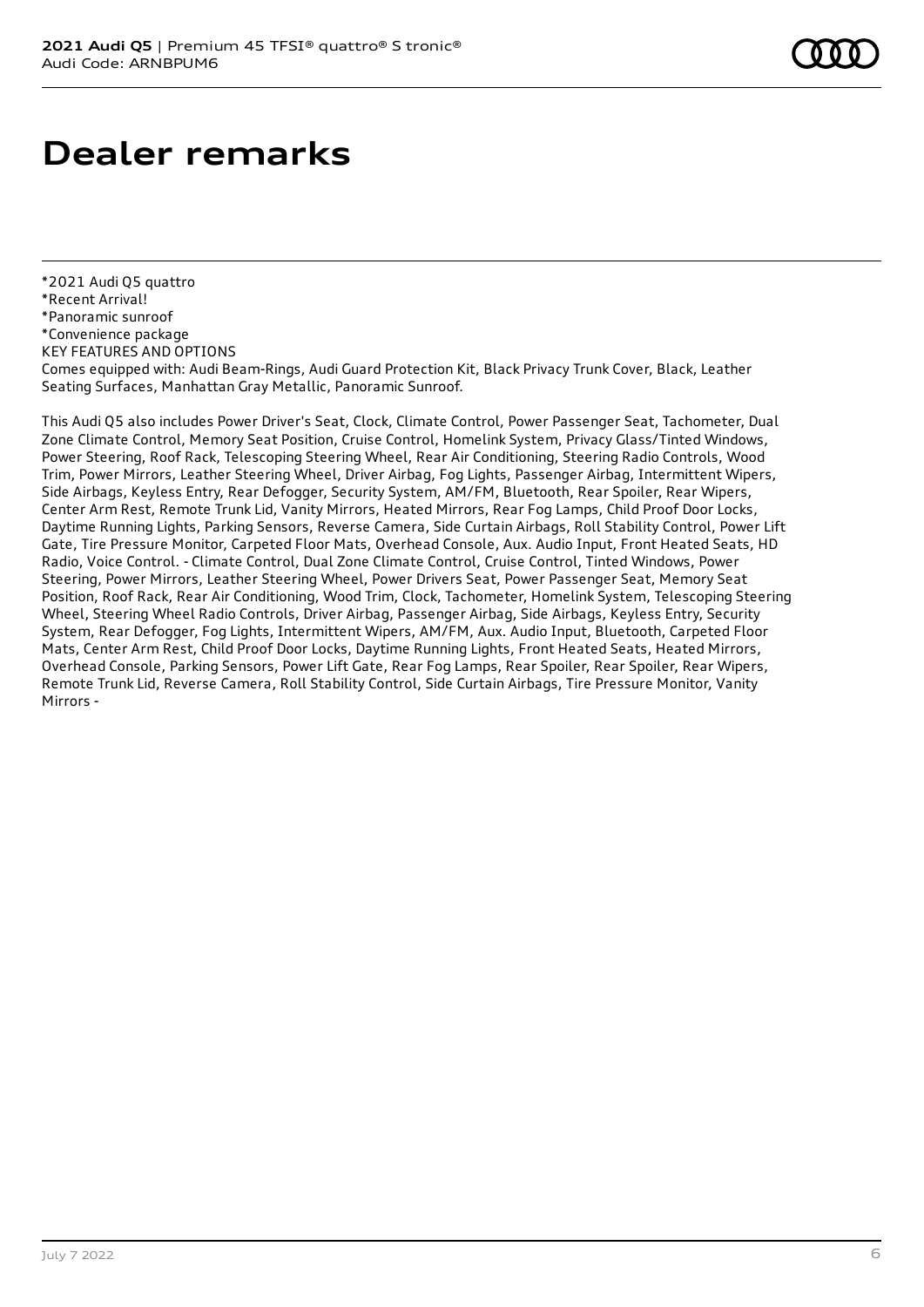## **Dealer remarks**

\*2021 Audi Q5 quattro \*Recent Arrival! \*Panoramic sunroof \*Convenience package KEY FEATURES AND OPTIONS Comes equipped with: Audi Beam-Rings, Audi Guard Protection Kit, Black Privacy Trunk Cover, Black, Leather Seating Surfaces, Manhattan Gray Metallic, Panoramic Sunroof.

This Audi Q5 also includes Power Driver's Seat, Clock, Climate Control, Power Passenger Seat, Tachometer, Dual Zone Climate Control, Memory Seat Position, Cruise Control, Homelink System, Privacy Glass/Tinted Windows, Power Steering, Roof Rack, Telescoping Steering Wheel, Rear Air Conditioning, Steering Radio Controls, Wood Trim, Power Mirrors, Leather Steering Wheel, Driver Airbag, Fog Lights, Passenger Airbag, Intermittent Wipers, Side Airbags, Keyless Entry, Rear Defogger, Security System, AM/FM, Bluetooth, Rear Spoiler, Rear Wipers, Center Arm Rest, Remote Trunk Lid, Vanity Mirrors, Heated Mirrors, Rear Fog Lamps, Child Proof Door Locks, Daytime Running Lights, Parking Sensors, Reverse Camera, Side Curtain Airbags, Roll Stability Control, Power Lift Gate, Tire Pressure Monitor, Carpeted Floor Mats, Overhead Console, Aux. Audio Input, Front Heated Seats, HD Radio, Voice Control. - Climate Control, Dual Zone Climate Control, Cruise Control, Tinted Windows, Power Steering, Power Mirrors, Leather Steering Wheel, Power Drivers Seat, Power Passenger Seat, Memory Seat Position, Roof Rack, Rear Air Conditioning, Wood Trim, Clock, Tachometer, Homelink System, Telescoping Steering Wheel, Steering Wheel Radio Controls, Driver Airbag, Passenger Airbag, Side Airbags, Keyless Entry, Security System, Rear Defogger, Fog Lights, Intermittent Wipers, AM/FM, Aux. Audio Input, Bluetooth, Carpeted Floor Mats, Center Arm Rest, Child Proof Door Locks, Daytime Running Lights, Front Heated Seats, Heated Mirrors, Overhead Console, Parking Sensors, Power Lift Gate, Rear Fog Lamps, Rear Spoiler, Rear Spoiler, Rear Wipers, Remote Trunk Lid, Reverse Camera, Roll Stability Control, Side Curtain Airbags, Tire Pressure Monitor, Vanity Mirrors -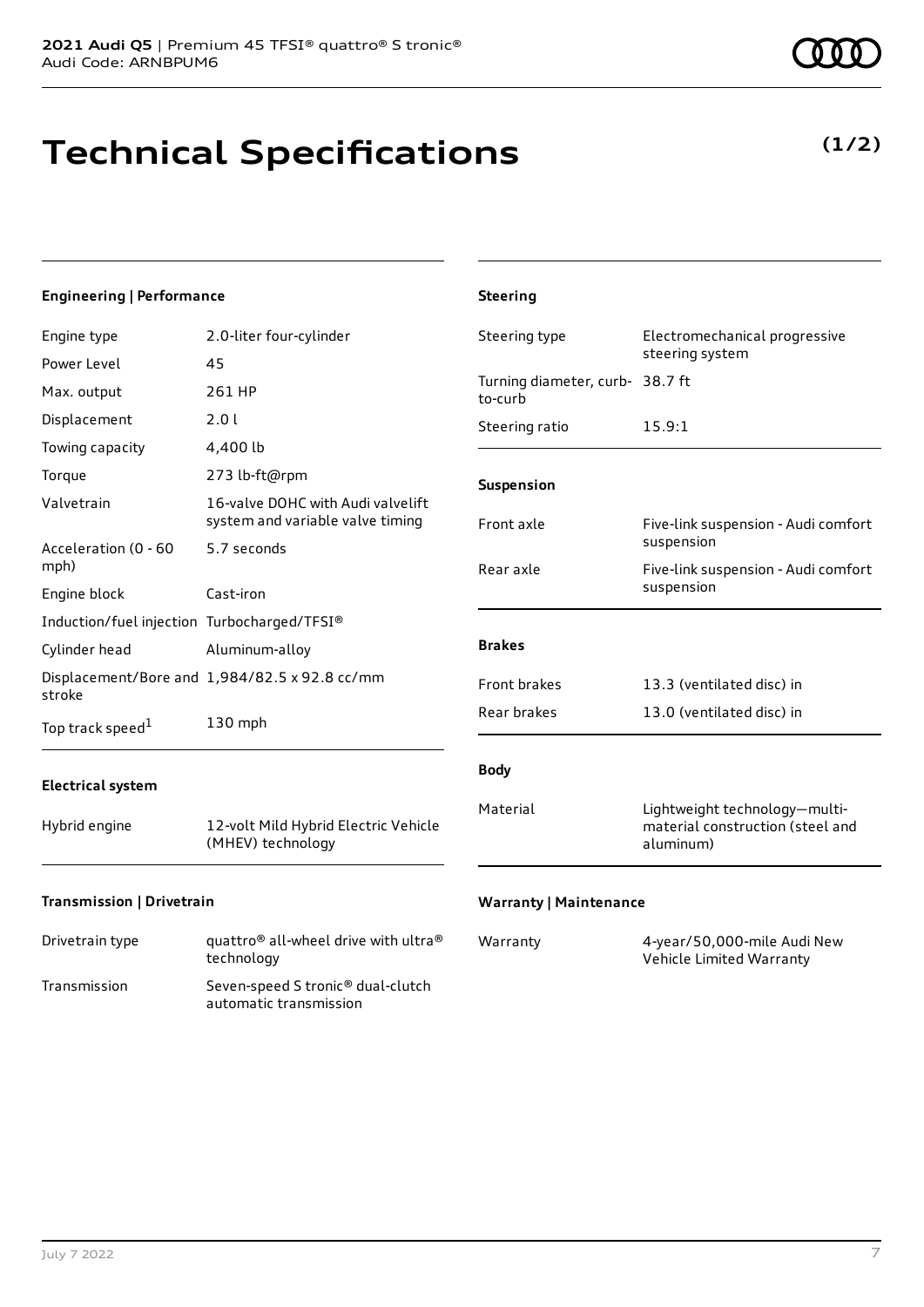# **Technical Specifications**

**(1/2)**

| <b>Engineering   Performance</b>            |                                                                       | <b>Steering</b>                            |                                                                                |
|---------------------------------------------|-----------------------------------------------------------------------|--------------------------------------------|--------------------------------------------------------------------------------|
| Engine type                                 | 2.0-liter four-cylinder                                               | Steering type                              | Electromechanical progressive<br>steering system                               |
| Power Level                                 | 45                                                                    |                                            |                                                                                |
| Max. output                                 | 261 HP                                                                | Turning diameter, curb- 38.7 ft<br>to-curb |                                                                                |
| Displacement                                | 2.01                                                                  | Steering ratio                             | 15.9:1                                                                         |
| Towing capacity                             | 4,400 lb                                                              |                                            |                                                                                |
| Torque                                      | 273 lb-ft@rpm                                                         | Suspension                                 |                                                                                |
| Valvetrain                                  | 16-valve DOHC with Audi valvelift<br>system and variable valve timing | Front axle                                 | Five-link suspension - Audi comfort                                            |
| Acceleration (0 - 60<br>mph)                | 5.7 seconds                                                           | Rear axle                                  | suspension<br>Five-link suspension - Audi comfort                              |
| Engine block                                | Cast-iron                                                             |                                            | suspension                                                                     |
| Induction/fuel injection Turbocharged/TFSI® |                                                                       |                                            |                                                                                |
| Cylinder head                               | Aluminum-alloy                                                        | <b>Brakes</b>                              |                                                                                |
| stroke                                      | Displacement/Bore and 1,984/82.5 x 92.8 cc/mm                         | Front brakes                               | 13.3 (ventilated disc) in                                                      |
| Top track speed <sup>1</sup>                | 130 mph                                                               | Rear brakes                                | 13.0 (ventilated disc) in                                                      |
| <b>Electrical system</b>                    |                                                                       | <b>Body</b>                                |                                                                                |
| Hybrid engine                               | 12-volt Mild Hybrid Electric Vehicle<br>(MHEV) technology             | Material                                   | Lightweight technology-multi-<br>material construction (steel and<br>aluminum) |
| Transmission   Drivetrain                   |                                                                       | <b>Warranty   Maintenance</b>              |                                                                                |

Drivetrain type quattro<sup>®</sup> all-wheel drive with ultra<sup>®</sup> technology Transmission Seven-speed S tronic® dual-clutch automatic transmission

| Warranty | 4-year/50,000-mile Audi New |
|----------|-----------------------------|
|          | Vehicle Limited Warranty    |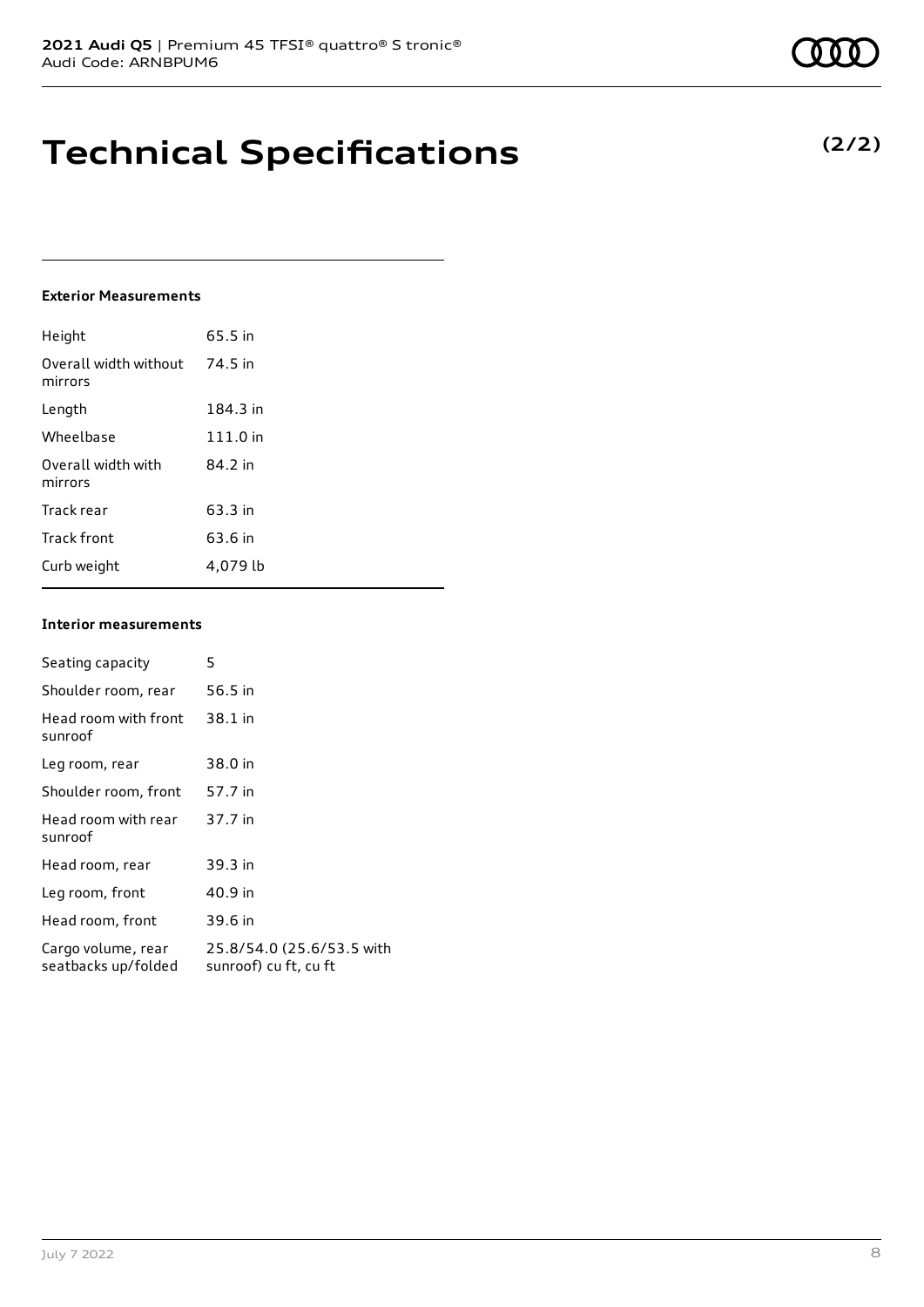# **Technical Specifications**

#### **Exterior Measurements**

| Height                           | 65.5 in  |
|----------------------------------|----------|
| Overall width without<br>mirrors | 74.5 in  |
| Length                           | 184.3 in |
| Wheelbase                        | 111.0 in |
| Overall width with<br>mirrors    | 84.2 in  |
| Track rear                       | 63.3 in  |
| <b>Track front</b>               | 63.6 in  |
| Curb weight                      | 4,079 lb |

#### **Interior measurements**

| Seating capacity                          | 5                                                  |
|-------------------------------------------|----------------------------------------------------|
| Shoulder room, rear                       | 56.5 in                                            |
| Head room with front<br>sunroof           | 38.1 in                                            |
| Leg room, rear                            | 38.0 in                                            |
| Shoulder room, front                      | 57.7 in                                            |
| Head room with rear<br>sunroof            | 37.7 in                                            |
| Head room, rear                           | 39.3 in                                            |
| Leg room, front                           | 40.9 in                                            |
| Head room, front                          | 39.6 in                                            |
| Cargo volume, rear<br>seatbacks up/folded | 25.8/54.0 (25.6/53.5 with<br>sunroof) cu ft, cu ft |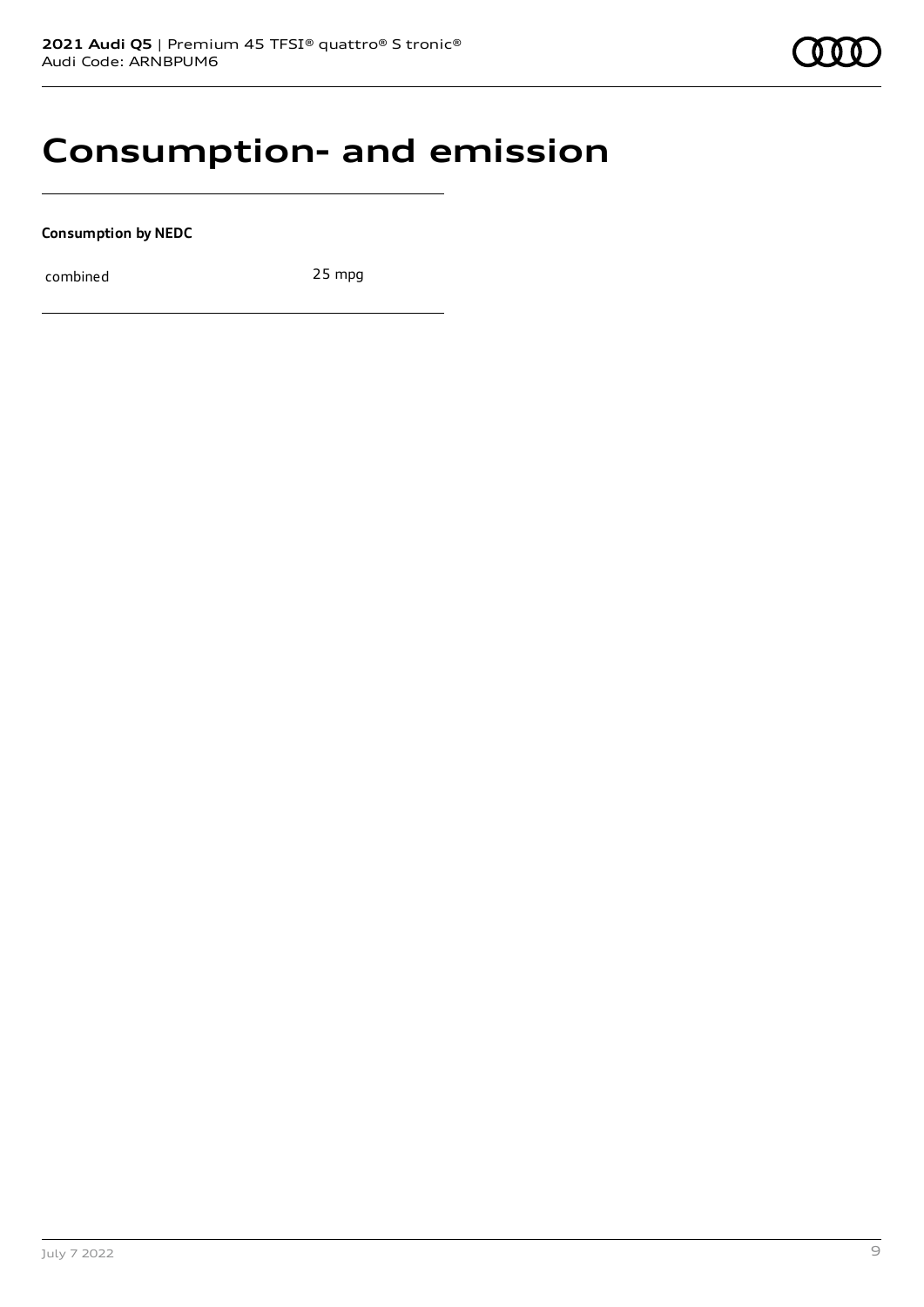### **Consumption- and emission**

**Consumption by NEDC**

combined 25 mpg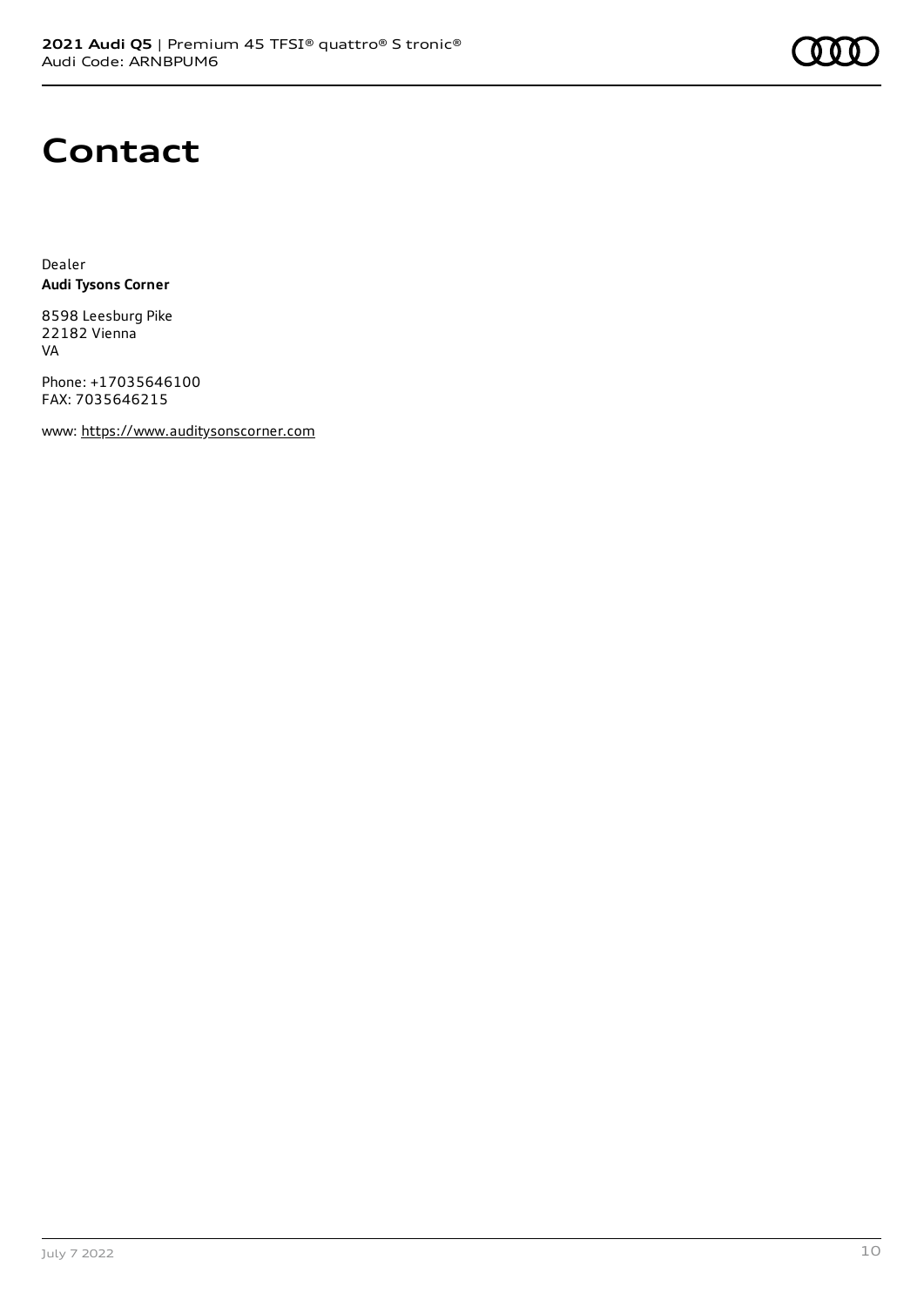

## **Contact**

Dealer **Audi Tysons Corner**

8598 Leesburg Pike 22182 Vienna VA

Phone: +17035646100 FAX: 7035646215

www: [https://www.auditysonscorner.com](https://www.auditysonscorner.com/)